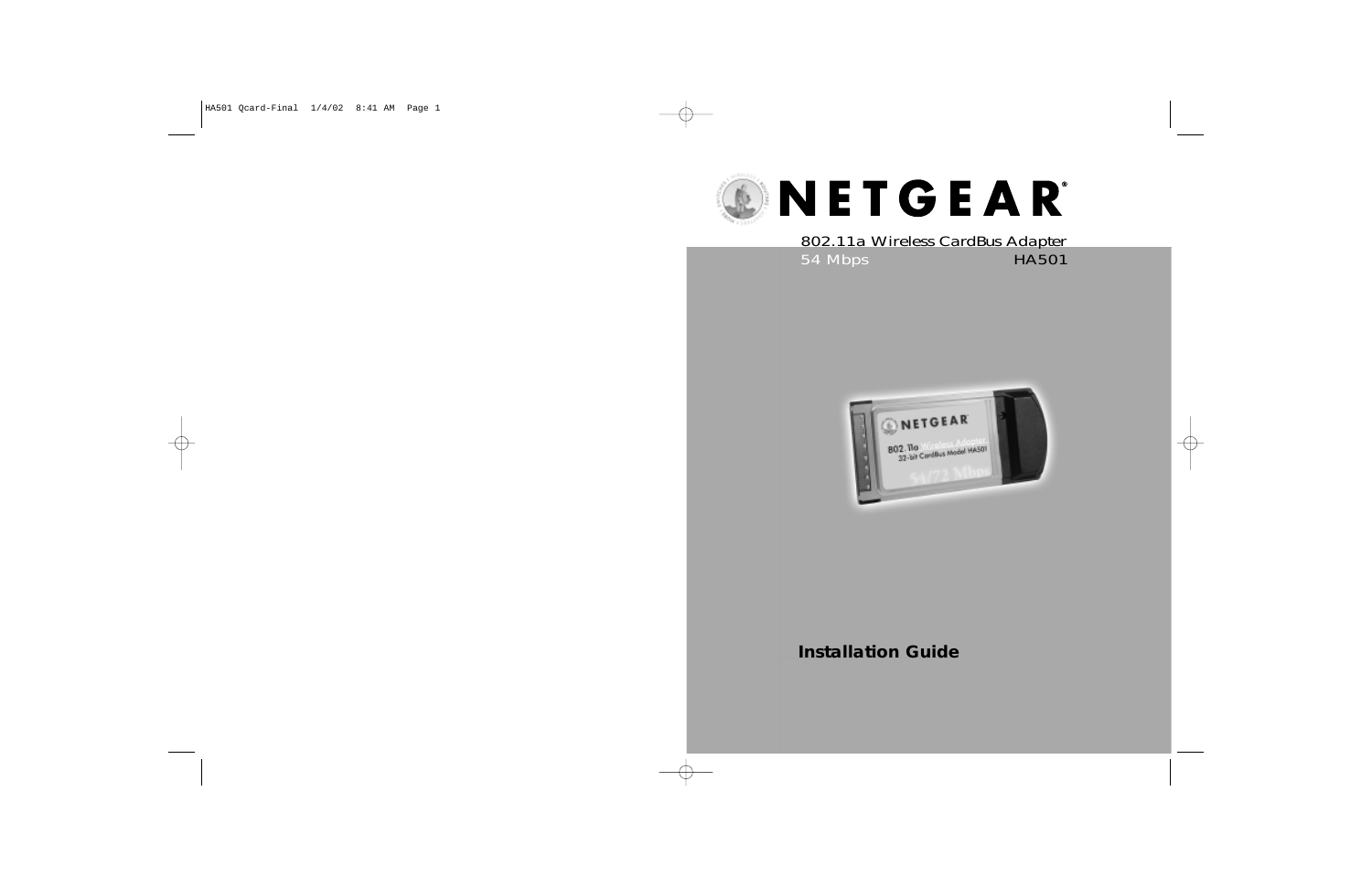

54 Mbps HA501 802.11a Wireless CardBus Adapter



#### **Installation Guide**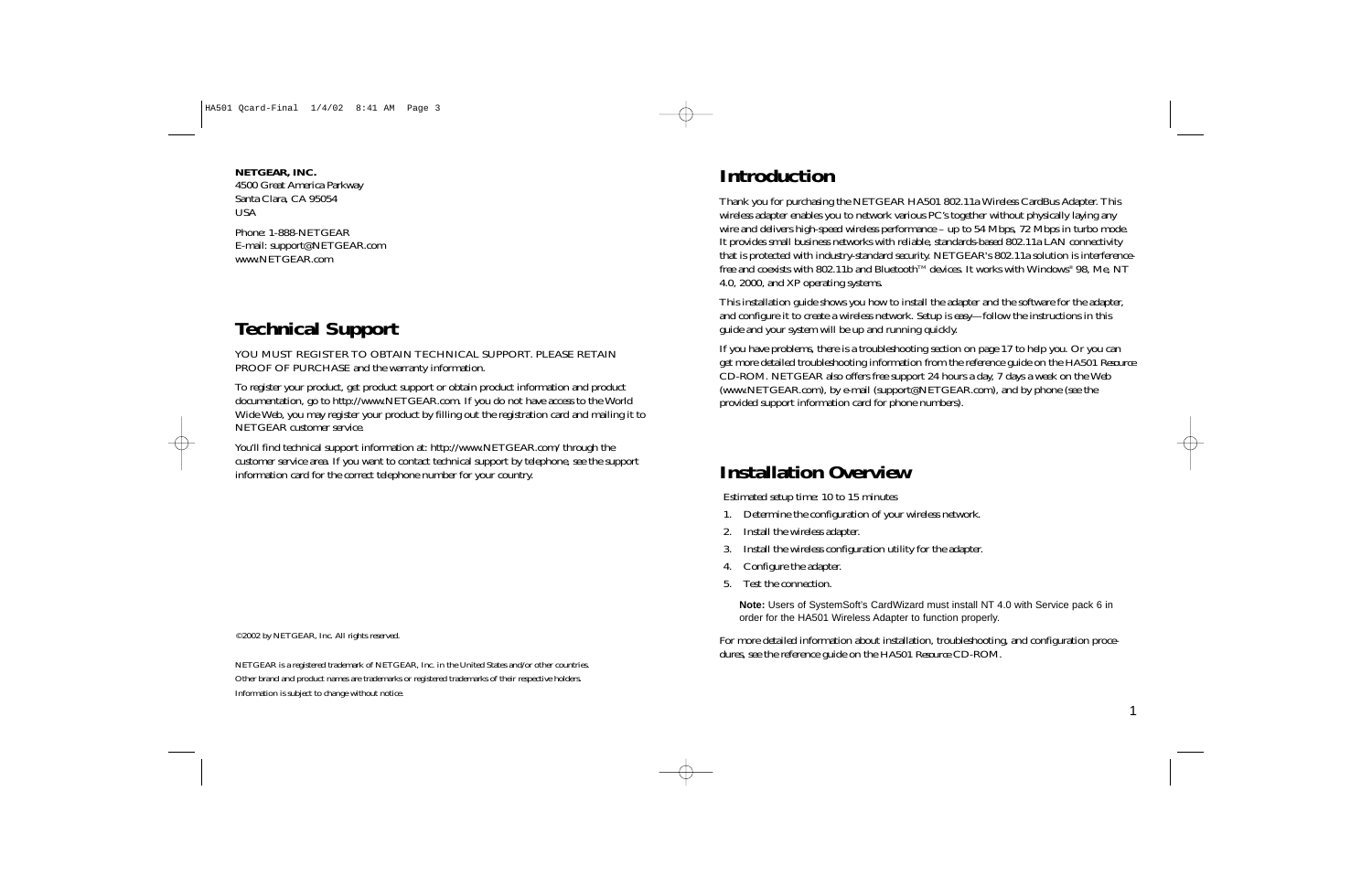**NETGEAR, INC.** 4500 Great America Parkway Santa Clara, CA 95054 USA

Phone: 1-888-NETGEAR E-mail: support@NETGEAR.com www.NETGEAR.com

## **Technical Support**

YOU MUST REGISTER TO OBTAIN TECHNICAL SUPPORT. PLEASE RETAIN PROOF OF PURCHASE and the warranty information.

To register your product, get product support or obtain product information and product documentation, go to http://www.NETGEAR.com. If you do not have access to the World Wide Web, you may register your product by filling out the registration card and mailing it to NETGEAR customer service.

You'll find technical support information at: http://www.NETGEAR.com/ through the customer service area. If you want to contact technical support by telephone, see the support information card for the correct telephone number for your country.

©2002 by NETGEAR, Inc. All rights reserved.

NETGEAR is a registered trademark of NETGEAR, Inc. in the United States and/or other countries. Other brand and product names are trademarks or registered trademarks of their respective holders. Information is subject to change without notice.

## **Introduction**

Thank you for purchasing the NETGEAR HA501 802.11a Wireless CardBus Adapter. This wireless adapter enables you to network various PC's together without physically laying any wire and delivers high-speed wireless performance – up to 54 Mbps, 72 Mbps in turbo mode. It provides small business networks with reliable, standards-based 802.11a LAN connectivity that is protected with industry-standard security. NETGEAR's 802.11a solution is interferencefree and coexists with 802.11b and Bluetooth<sup>TM</sup> devices. It works with Windows® 98, Me, NT 4.0, 2000, and XP operating systems.

This installation guide shows you how to install the adapter and the software for the adapter, and configure it to create a wireless network. Setup is easy—follow the instructions in this guide and your system will be up and running quickly.

If you have problems, there is a troubleshooting section on page 17 to help you. Or you can get more detailed troubleshooting information from the reference guide on the *HA501 Resource* CD-ROM. NETGEAR also offers free support 24 hours a day, 7 days a week on the Web (www.NETGEAR.com), by e-mail (support@NETGEAR.com), and by phone (see the provided support information card for phone numbers).

## **Installation Overview**

Estimated setup time: 10 to 15 minutes

- 1. Determine the configuration of your wireless network.
- 2. Install the wireless adapter.
- 3. Install the wireless configuration utility for the adapter.
- 4. Configure the adapter.
- 5. Test the connection.

**Note:** Users of SystemSoft's CardWizard must install NT 4.0 with Service pack 6 in order for the HA501 Wireless Adapter to function properly.

For more detailed information about installation, troubleshooting, and configuration procedures, see the reference guide on the *HA501 Resource* CD-ROM.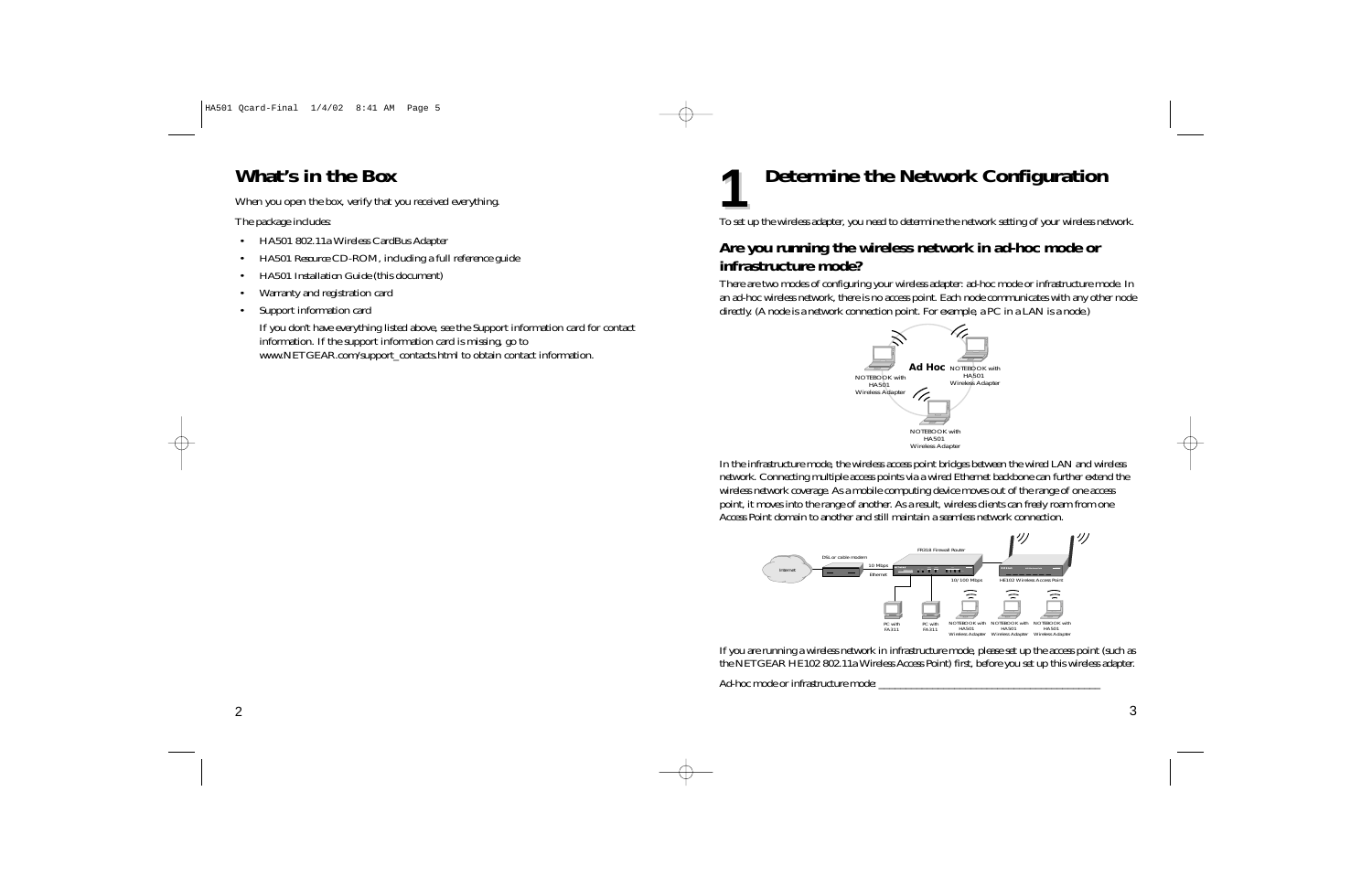## **What's in the Box**

When you open the box, verify that you received everything.

The package includes:

- •HA501 802.11a Wireless CardBus Adapter
- •*HA501 Resource* CD-ROM, including a full reference guide
- •*HA501 Installation Guide* (this document)
- •Warranty and registration card
- •Support information card

If you don't have everything listed above, see the Support information card for contact information. If the support information card is missing, go to www.NETGEAR.com/support\_contacts.html to obtain contact information.

# **Determine the Network Configuration**

To set up the wireless adapter, you need to determine the network setting of your wireless network.

## **Are you running the wireless network in ad-hoc mode or infrastructure mode?**

There are two modes of configuring your wireless adapter: ad-hoc mode or infrastructure mode. In an ad-hoc wireless network, there is no access point. Each node communicates with any other node directly. (A node is a network connection point. For example, a PC in a LAN is a node.)



In the infrastructure mode, the wireless access point bridges between the wired LAN and wireless network. Connecting multiple access points via a wired Ethernet backbone can further extend the wireless network coverage. As a mobile computing device moves out of the range of one access point, it moves into the range of another. As a result, wireless clients can freely roam from one Access Point domain to another and still maintain a seamless network connection.



If you are running a wireless network in infrastructure mode, please set up the access point (such as the NETGEAR HE102 802.11a Wireless Access Point) first, before you set up this wireless adapter.

Ad-hoc mode or infrastructure mode:

**1**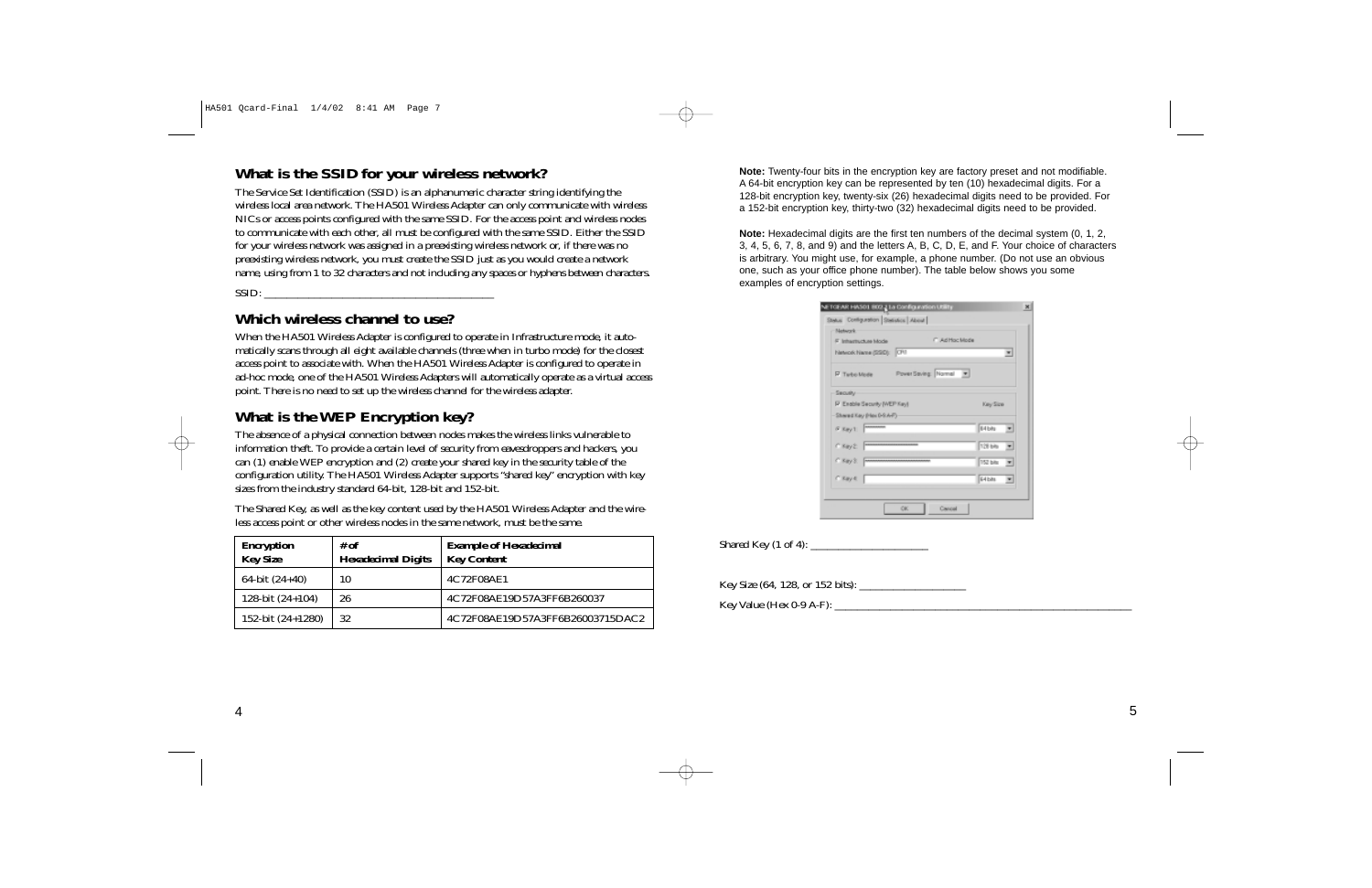### **What is the SSID for your wireless network?**

The Service Set Identification (SSID) is an alphanumeric character string identifying the wireless local area network. The HA501 Wireless Adapter can only communicate with wireless NICs or access points configured with the same SSID. For the access point and wireless nodes to communicate with each other, all must be configured with the same SSID. Either the SSID for your wireless network was assigned in a preexisting wireless network or, if there was no preexisting wireless network, you must create the SSID just as you would create a network name, using from 1 to 32 characters and not including any spaces or hyphens between characters.

 $SSID:$ 

#### **Which wireless channel to use?**

When the HA501 Wireless Adapter is configured to operate in Infrastructure mode, it automatically scans through all eight available channels (three when in turbo mode) for the closest access point to associate with. When the HA501 Wireless Adapter is configured to operate in ad-hoc mode, one of the HA501 Wireless Adapters will automatically operate as a virtual access point. There is no need to set up the wireless channel for the wireless adapter.

## **What is the WEP Encryption key?**

The absence of a physical connection between nodes makes the wireless links vulnerable to information theft. To provide a certain level of security from eavesdroppers and hackers, you can (1) enable WEP encryption and (2) create your shared key in the security table of the configuration utility. The HA501 Wireless Adapter supports "shared key" encryption with key sizes from the industry standard 64-bit, 128-bit and 152-bit.

The Shared Key, as well as the key content used by the HA501 Wireless Adapter and the wireless access point or other wireless nodes in the same network, must be the same.

| <b>Encryption</b><br><b>Key Size</b> | # of<br><b>Hexadecimal Digits</b> | <b>Example of Hexadecimal</b><br><b>Key Content</b> |
|--------------------------------------|-----------------------------------|-----------------------------------------------------|
| 64-bit $(24+40)$                     | 10                                | 4C72F08AE1                                          |
| 128-bit $(24+104)$                   | 26                                | 4C72F08AE19D57A3FF6B260037                          |
| 152-bit (24+1280)                    | 32                                | 4C72F08AE19D57A3FF6B26003715DAC2                    |

**Note:** Twenty-four bits in the encryption key are factory preset and not modifiable. A 64-bit encryption key can be represented by ten (10) hexadecimal digits. For a 128-bit encryption key, twenty-six (26) hexadecimal digits need to be provided. For a 152-bit encryption key, thirty-two (32) hexadecimal digits need to be provided.

**Note:** Hexadecimal digits are the first ten numbers of the decimal system (0, 1, 2, 3, 4, 5, 6, 7, 8, and 9) and the letters A, B, C, D, E, and F. Your choice of characters is arbitrary. You might use, for example, a phone number. (Do not use an obvious one, such as your office phone number). The table below shows you some examples of encryption settings.

| F Inhartructure Mode         | IT Ad Hoc Mode         |          |                                    |
|------------------------------|------------------------|----------|------------------------------------|
| Network Name (SSD): CFS      |                        |          | $\blacksquare$                     |
| F Tu-bo-Mode                 | Power Saving: Normal # |          |                                    |
| Security                     |                        |          |                                    |
| IP Exable Security (WEP Key) |                        | Key Size |                                    |
| Shared Kay (Has 0-9.A-F)     |                        |          |                                    |
| $6.8$ my 1                   |                        | 64 bits  | $\overline{\phantom{a}}$           |
| $C$ Kay 2                    |                        | 128 bits | ٠                                  |
| C Ray S. Freeman             |                        | 152 bits | $\left\vert \mathbf{v}\right\vert$ |
| $C$ Kay $d$                  |                        | 64 bits  | $\blacksquare$                     |

Shared Key  $(1 \text{ of } 4)$ :

Key Size (64, 128, or 152 bits): \_\_\_\_\_\_\_\_\_\_\_\_\_\_\_\_\_\_\_

Key Value (Hex 0-9 A-F): \_\_\_\_\_\_\_\_\_\_\_\_\_\_\_\_\_\_\_\_\_\_\_\_\_\_\_\_\_\_\_\_\_\_\_\_\_\_\_\_\_\_\_\_\_\_\_\_\_\_\_\_\_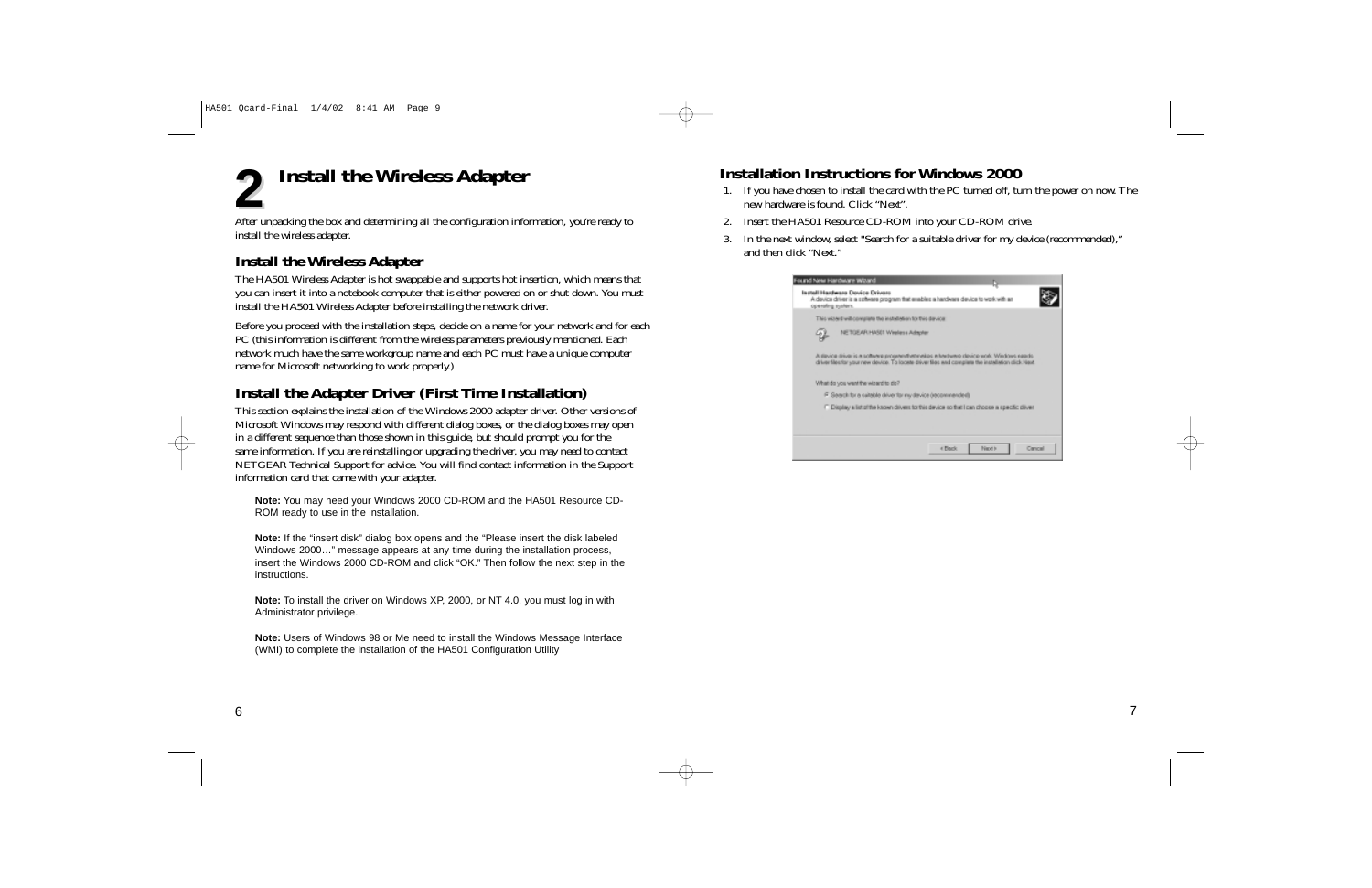

After unpacking the box and determining all the configuration information, you're ready to install the wireless adapter.

### **Install the Wireless Adapter**

The HA501 Wireless Adapter is hot swappable and supports hot insertion, which means that you can insert it into a notebook computer that is either powered on or shut down. You must install the HA501 Wireless Adapter before installing the network driver.

Before you proceed with the installation steps, decide on a name for your network and for each PC (this information is different from the wireless parameters previously mentioned. Each network much have the same workgroup name and each PC must have a unique computer name for Microsoft networking to work properly.)

## **Install the Adapter Driver (First Time Installation)**

This section explains the installation of the Windows 2000 adapter driver. Other versions of Microsoft Windows may respond with different dialog boxes, or the dialog boxes may open in a different sequence than those shown in this guide, but should prompt you for the same information. If you are reinstalling or upgrading the driver, you may need to contact NETGEAR Technical Support for advice. You will find contact information in the Support information card that came with your adapter.

**Note:** You may need your Windows 2000 CD-ROM and the HA501 Resource CD-ROM ready to use in the installation.

**Note:** If the "insert disk" dialog box opens and the "Please insert the disk labeled Windows 2000…" message appears at any time during the installation process, insert the Windows 2000 CD-ROM and click "OK." Then follow the next step in the instructions.

**Note:** To install the driver on Windows XP, 2000, or NT 4.0, you must log in with Administrator privilege.

**Note:** Users of Windows 98 or Me need to install the Windows Message Interface (WMI) to complete the installation of the HA501 Configuration Utility

## **Installation Instructions for Windows 2000**

- 1. If you have chosen to install the card with the PC turned off, turn the power on now. The new hardware is found. Click "Next".
- 2. Insert the HA501 Resource CD-ROM into your CD-ROM drive.
- 3. In the next window, select "Search for a suitable driver for my device (recommended)," and then click "Next."

| ound New Hardware Wizard<br>Isstell Hardware Dovice Drivers<br>operating system. | A device driver is a software program that enables a hardware device to work with an                                                                                                         |        |
|----------------------------------------------------------------------------------|----------------------------------------------------------------------------------------------------------------------------------------------------------------------------------------------|--------|
| This wizers will complete the installation for this device:                      |                                                                                                                                                                                              |        |
| NETOEAR HASE! Weeless Adapter                                                    |                                                                                                                                                                                              |        |
|                                                                                  | A device driver is a software program that makes a hardware device work. Windows needs<br>driver files for your new device. To locate driver files and complete the installation click Next. |        |
| What do you want the wizard to do?                                               |                                                                                                                                                                                              |        |
|                                                                                  | F Search for a suitable driver for my device (recommended)                                                                                                                                   |        |
|                                                                                  | C Display a list of the known drivers for this device so that I can choose a specific driver                                                                                                 |        |
|                                                                                  |                                                                                                                                                                                              |        |
|                                                                                  | 4 Finely<br>New is                                                                                                                                                                           | Cancel |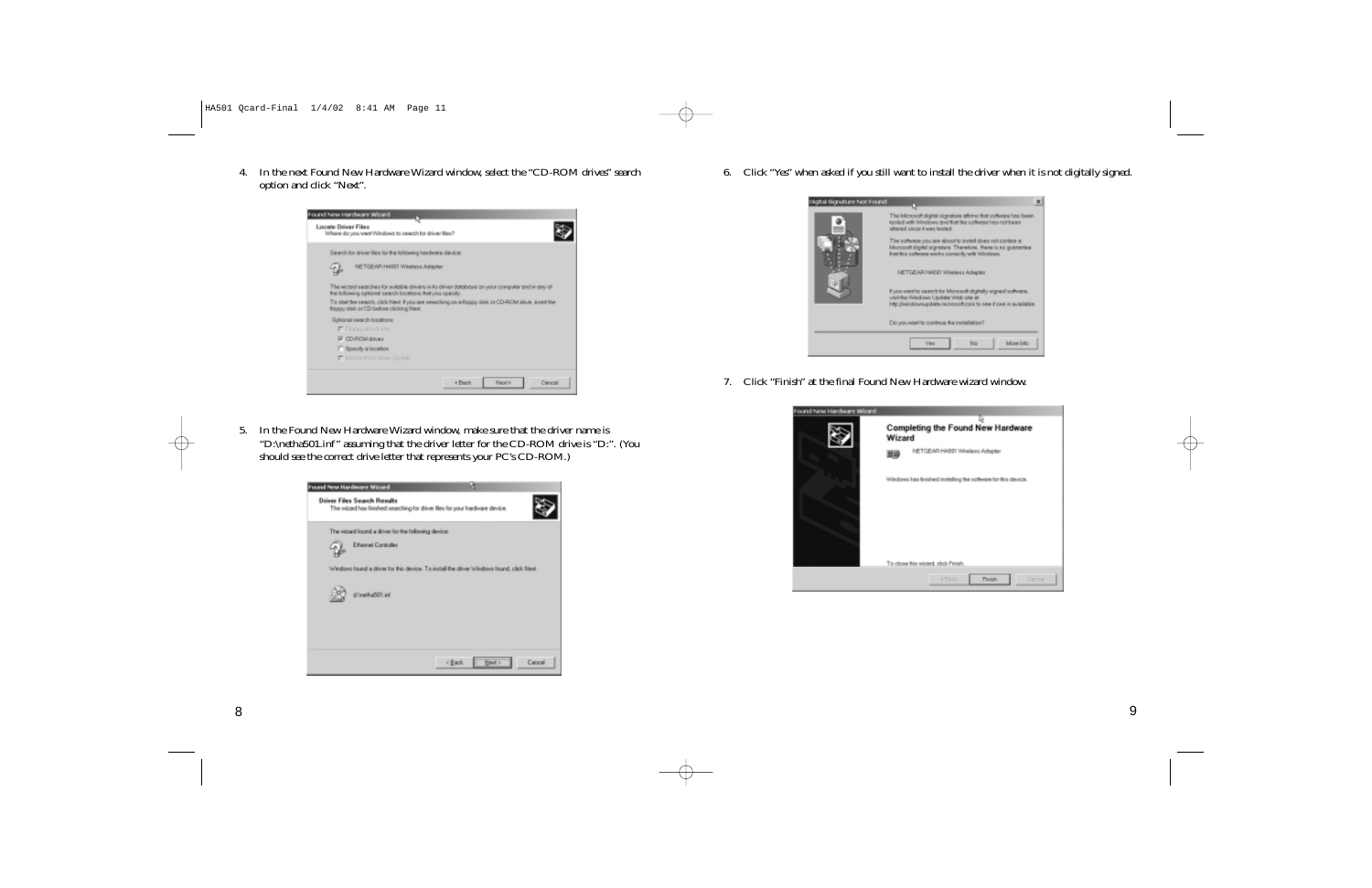4. In the next Found New Hardware Wizard window, select the "CD-ROM drives" search option and click "Next".



5. In the Found New Hardware Wizard window, make sure that the driver name is "D:\netha501.inf" assuming that the driver letter for the CD-ROM drive is "D:". (You should see the correct drive letter that represents your PC's CD-ROM.)



6. Click "Yes" when asked if you still want to install the driver when it is not digitally signed.



7. Click "Finish" at the final Found New Hardware wizard window.

| ound New Hardware Wizard | Completing the Found New Hardware<br>Wizard                   |
|--------------------------|---------------------------------------------------------------|
|                          | NETCEAR HASST Windess Adopter<br>型母                           |
|                          | Windows has finished installing the software for this device. |
|                          | To close this wipped, click Finish.                           |
|                          | <b>Pinish</b><br>4 Block<br>Central                           |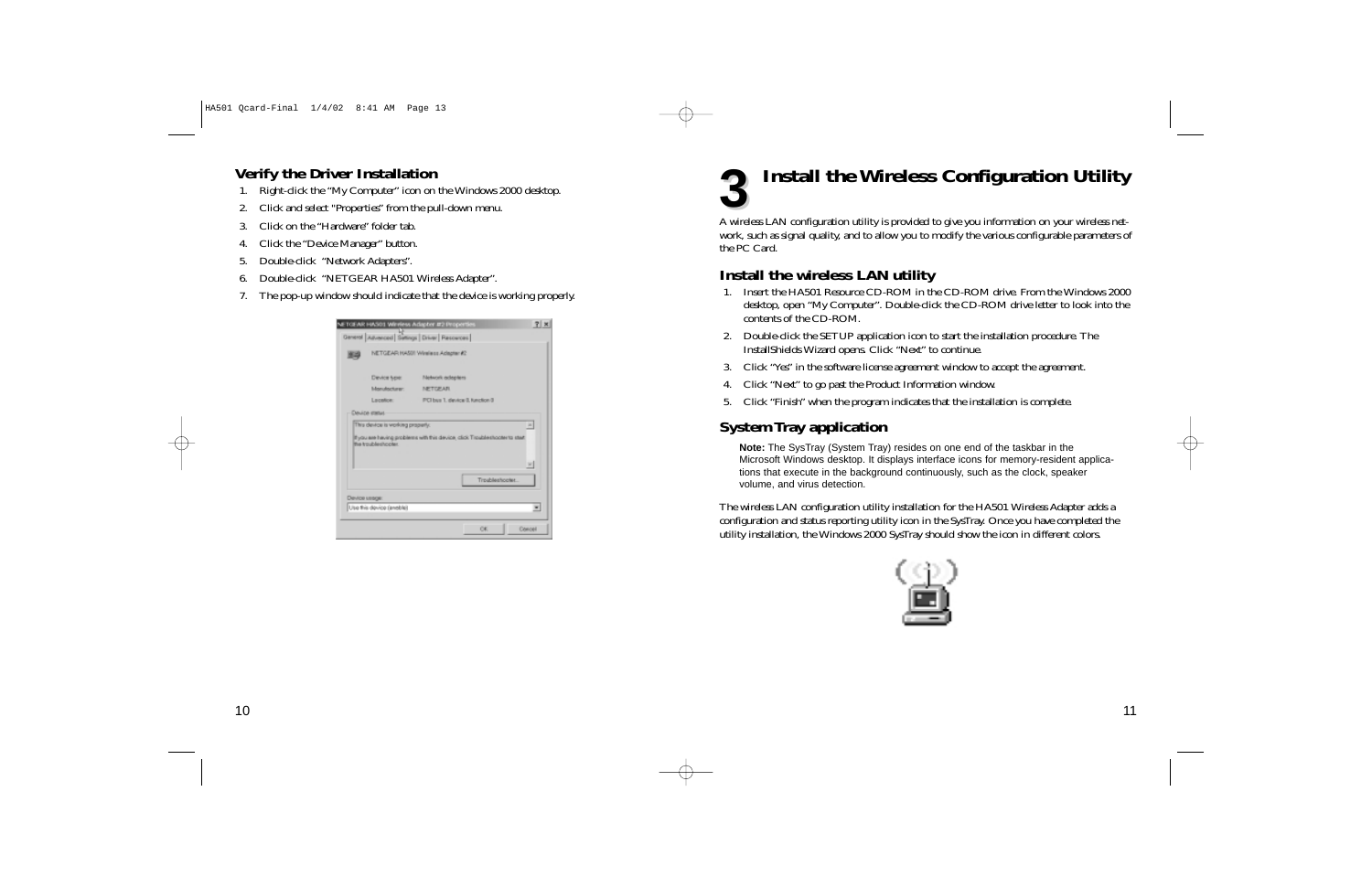## **Verify the Driver Installation**

- 1. Right-click the "My Computer" icon on the Windows 2000 desktop.
- 2. Click and select "Properties" from the pull-down menu.
- 3. Click on the "Hardware" folder tab.
- 4. Click the "Device Manager" button.
- 5. Double-click "Network Adapters".
- 6. Double-click "NETGEAR HA501 Wireless Adapter".
- 7. The pop-up window should indicate that the device is working properly.

| 脚斗 |                                                                          | General Advanced Satings Driver   Resources  <br>NETGEAR HASS! Winniess Adapter #2 |               |
|----|--------------------------------------------------------------------------|------------------------------------------------------------------------------------|---------------|
|    | Device type:                                                             | Metwork adapters                                                                   |               |
|    | Islanutacturer:                                                          | <b>METORAR</b>                                                                     |               |
|    | Location                                                                 | PCI bus 1, device 0, function 0                                                    |               |
|    | Device status<br>This device is working properly.<br>the troubleshooter. | If you are having problems with this device, click Troubleshooter to start         |               |
|    |                                                                          |                                                                                    | $\Delta$<br>w |
|    |                                                                          | Troubleshopter                                                                     |               |
|    | Device usage:                                                            |                                                                                    |               |

## **Install the Wireless Configuration Utility 3**

A wireless LAN configuration utility is provided to give you information on your wireless network, such as signal quality, and to allow you to modify the various configurable parameters of the PC Card.

### **Install the wireless LAN utility**

- 1. Insert the HA501 Resource CD-ROM in the CD-ROM drive. From the Windows 2000 desktop, open "My Computer". Double-click the CD-ROM drive letter to look into the contents of the CD-ROM.
- 2. Double-click the SETUP application icon to start the installation procedure. The InstallShields Wizard opens. Click "Next" to continue.
- 3. Click "Yes" in the software license agreement window to accept the agreement.
- 4. Click "Next" to go past the Product Information window.
- 5. Click "Finish" when the program indicates that the installation is complete.

### **System Tray application**

**Note:** The SysTray (System Tray) resides on one end of the taskbar in the Microsoft Windows desktop. It displays interface icons for memory-resident applications that execute in the background continuously, such as the clock, speaker volume, and virus detection.

The wireless LAN configuration utility installation for the HA501 Wireless Adapter adds a configuration and status reporting utility icon in the SysTray. Once you have completed the utility installation, the Windows 2000 SysTray should show the icon in different colors.

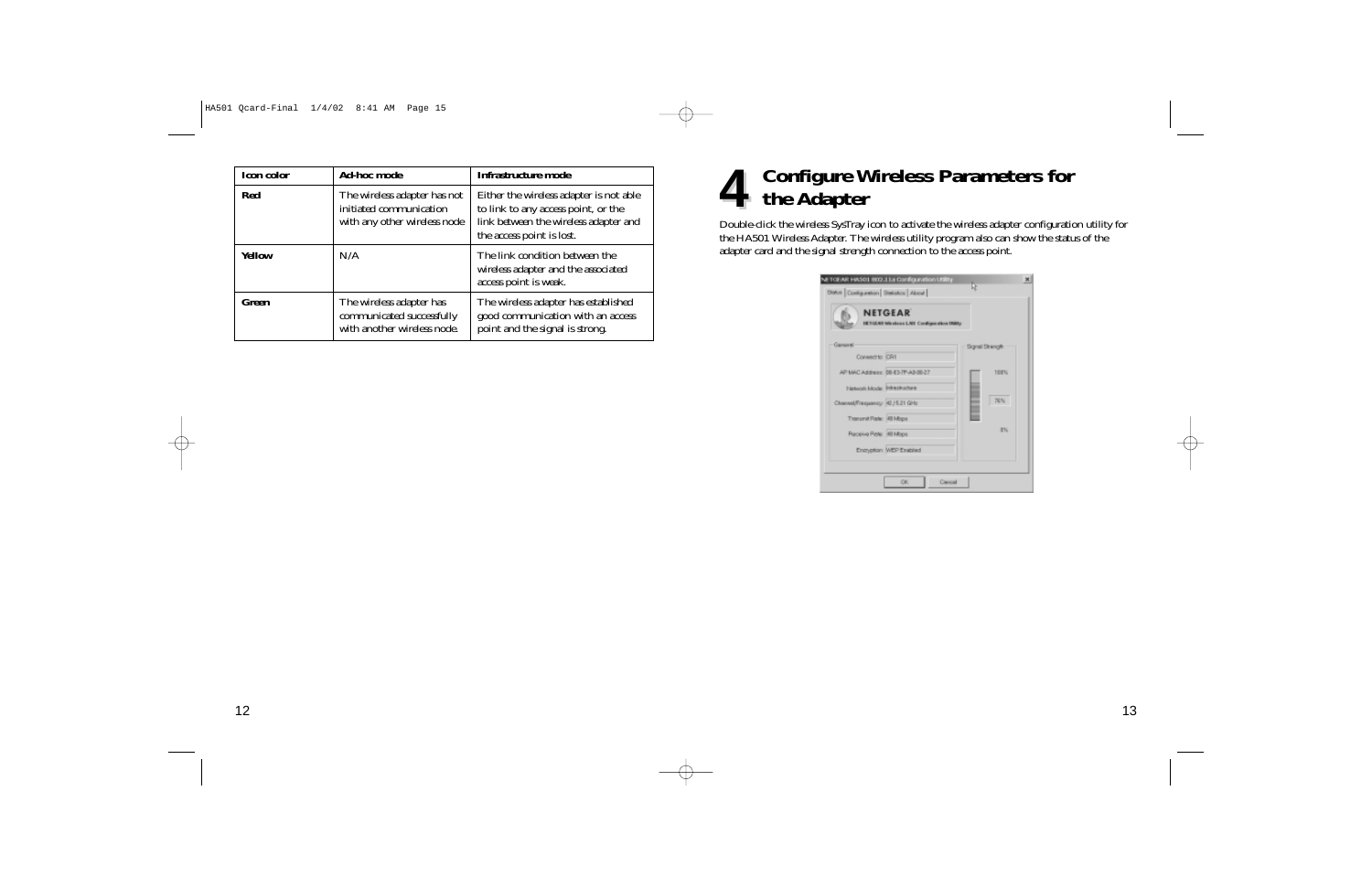| <b>Icon color</b> | <b>Ad-hoc mode</b>                                                                      | Infrastructure mode                                                                                                                                  |
|-------------------|-----------------------------------------------------------------------------------------|------------------------------------------------------------------------------------------------------------------------------------------------------|
| <b>Red</b>        | The wireless adapter has not<br>initiated communication<br>with any other wireless node | Either the wireless adapter is not able<br>to link to any access point, or the<br>link between the wireless adapter and<br>the access point is lost. |
| <b>Yellow</b>     | N/A                                                                                     | The link condition between the<br>wireless adapter and the associated<br>access point is weak.                                                       |
| Green             | The wireless adapter has<br>communicated successfully<br>with another wireless node.    | The wireless adapter has established<br>good communication with an access<br>point and the signal is strong.                                         |

## **Configure Wireless Parameters for 4** Configure W<br>**4** the Adapter

Double-click the wireless SysTray icon to activate the wireless adapter configuration utility for the HA501 Wireless Adapter. The wireless utility program also can show the status of the adapter card and the signal strength connection to the access point.

| NETCEAR HASO1 802.11a Configuration Utility<br>Stefus Contiguestion Stefation About | ×<br>œ          |
|-------------------------------------------------------------------------------------|-----------------|
| <b>NETGEAR</b><br>HETGERY We shown LAST Configuration USBS;                         |                 |
| - Ganorel<br>Consecrto: CR1                                                         | Signal Strength |
| AP MAC Address: 00-83-7F-A0-00-27                                                   | 103%            |
| Network Mode: Infrastructure<br>Chansel/Frequency: 42 / 5.21 GHz                    | 76%             |
| Transmit Fishe: 48 Mops                                                             | œN.             |
| Receive Rete: 48 Mops<br>Encryption: WEP Enabled                                    |                 |
|                                                                                     |                 |
| Crevent<br>OK.                                                                      |                 |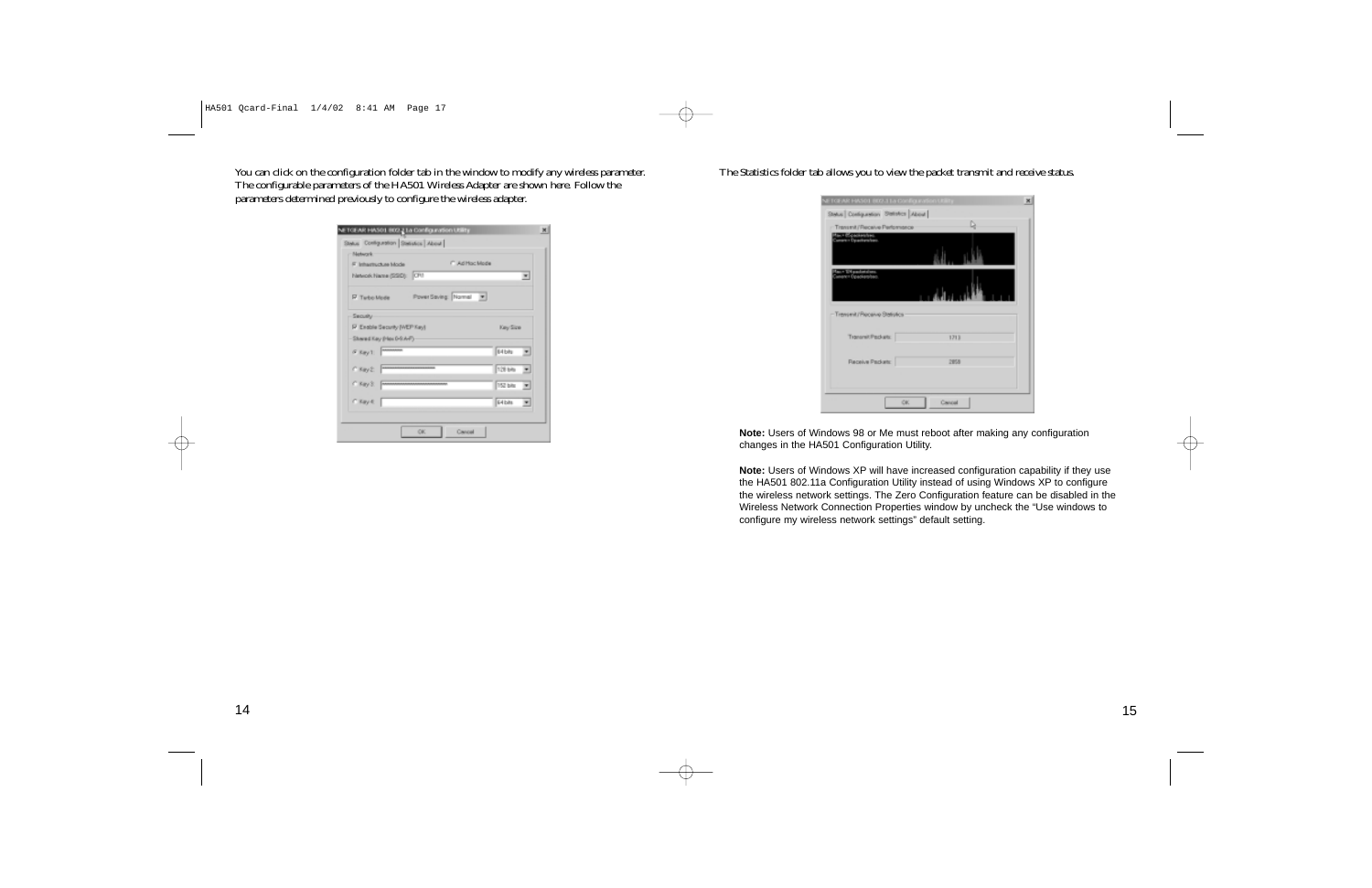You can click on the configuration folder tab in the window to modify any wireless parameter. The configurable parameters of the HA501 Wireless Adapter are shown here. Follow the parameters determined previously to configure the wireless adapter.

| F. Inhartschas Mode          | <b>CAdiffoc Mode</b>  |                            |
|------------------------------|-----------------------|----------------------------|
| Network Name (SSD): CF1      |                       | $\blacksquare$             |
| F Turbo Mode                 | PowerSaving: Normal v |                            |
| Security                     |                       |                            |
| IP Exable Security (WEP Key) |                       | Key Size                   |
| Shared Kay (Has 0-9.A-F)     |                       |                            |
| $6.8$ m/1                    |                       | 64 bits<br>ᅬ               |
| $C$ Kay 2.                   |                       | 128 bits<br>$\overline{ }$ |
| C Key S: [m                  |                       | <b>152 bits</b><br>国       |
| $C$ Kay $C$                  |                       | <b>G4bits</b><br>◾         |

#### The Statistics folder tab allows you to view the packet transmit and receive status.

| Stelus Configuration Shiftshire About   | NETGEAR HASOL B02.11a Configuration Utility |
|-----------------------------------------|---------------------------------------------|
| - Transmit/Fleceive Performance         | D                                           |
| тан (браскество).<br>Smare i Орастаство |                                             |
|                                         |                                             |
| p.+ 104 packakel<br>www.r Opacliamher   |                                             |
| -Trensmit/Processe Stellstics           |                                             |
| Transmit Packets:                       | 1713                                        |
| Receive Packetc                         | 2858                                        |
|                                         |                                             |

**Note:** Users of Windows 98 or Me must reboot after making any configuration changes in the HA501 Configuration Utility.

**Note:** Users of Windows XP will have increased configuration capability if they use the HA501 802.11a Configuration Utility instead of using Windows XP to configure the wireless network settings. The Zero Configuration feature can be disabled in the Wireless Network Connection Properties window by uncheck the "Use windows to configure my wireless network settings" default setting.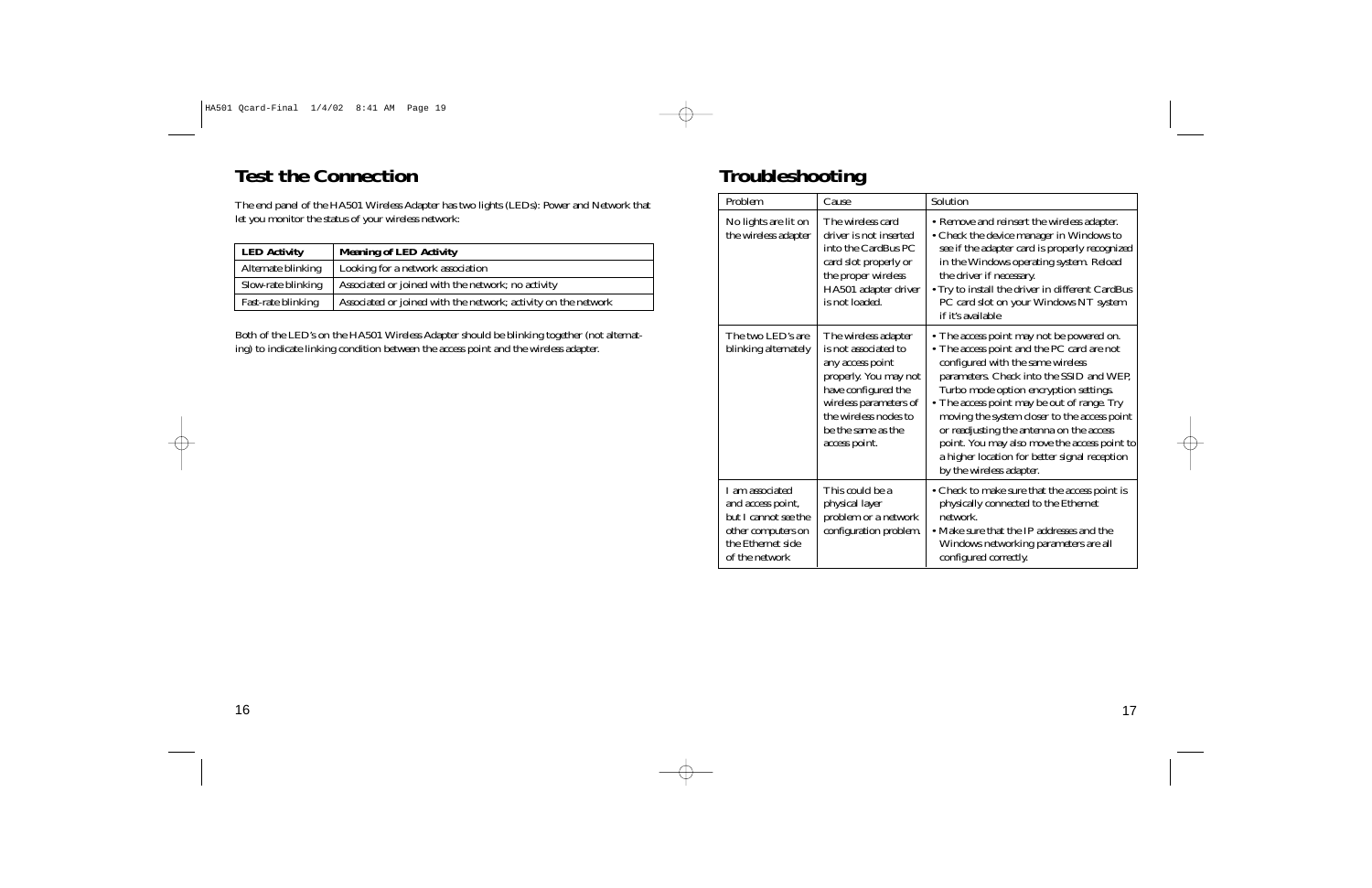## **Test the Connection**

The end panel of the HA501 Wireless Adapter has two lights (LEDs): Power and Network that let you monitor the status of your wireless network:

| <b>LED Activity</b> | <b>Meaning of LED Activity</b>                                 |
|---------------------|----------------------------------------------------------------|
| Alternate blinking  | Looking for a network association                              |
| Slow-rate blinking  | Associated or joined with the network; no activity             |
| Fast-rate blinking  | Associated or joined with the network; activity on the network |

Both of the LED's on the HA501 Wireless Adapter should be blinking together (not alternating) to indicate linking condition between the access point and the wireless adapter.

## **Troubleshooting**

| Problem                                                                                                                   | Cause                                                                                                                                                                                                      | Solution                                                                                                                                                                                                                                                                                                                                                                                                                                                                                   |
|---------------------------------------------------------------------------------------------------------------------------|------------------------------------------------------------------------------------------------------------------------------------------------------------------------------------------------------------|--------------------------------------------------------------------------------------------------------------------------------------------------------------------------------------------------------------------------------------------------------------------------------------------------------------------------------------------------------------------------------------------------------------------------------------------------------------------------------------------|
| No lights are lit on<br>the wireless adapter                                                                              | The wireless card<br>driver is not inserted<br>into the CardBus PC<br>card slot properly or<br>the proper wireless<br>HA501 adapter driver<br>is not loaded.                                               | • Remove and reinsert the wireless adapter.<br>• Check the device manager in Windows to<br>see if the adapter card is properly recognized<br>in the Windows operating system. Reload<br>the driver if necessary.<br>• Try to install the driver in different CardBus<br>PC card slot on your Windows NT system<br>if it's available                                                                                                                                                        |
| The two LED's are<br>blinking alternately                                                                                 | The wireless adapter<br>is not associated to<br>any access point<br>properly. You may not<br>have configured the<br>wireless parameters of<br>the wireless nodes to<br>be the same as the<br>access point. | • The access point may not be powered on.<br>• The access point and the PC card are not<br>configured with the same wireless<br>parameters. Check into the SSID and WEP,<br>Turbo mode option encryption settings.<br>• The access point may be out of range. Try<br>moving the system closer to the access point<br>or readjusting the antenna on the access<br>point. You may also move the access point to<br>a higher location for better signal reception<br>by the wireless adapter. |
| I am associated<br>and access point,<br>but I cannot see the<br>other computers on<br>the Ethernet side<br>of the network | This could be a<br>physical layer<br>problem or a network<br>configuration problem.                                                                                                                        | • Check to make sure that the access point is<br>physically connected to the Ethernet<br>network.<br>• Make sure that the IP addresses and the<br>Windows networking parameters are all<br>configured correctly.                                                                                                                                                                                                                                                                           |